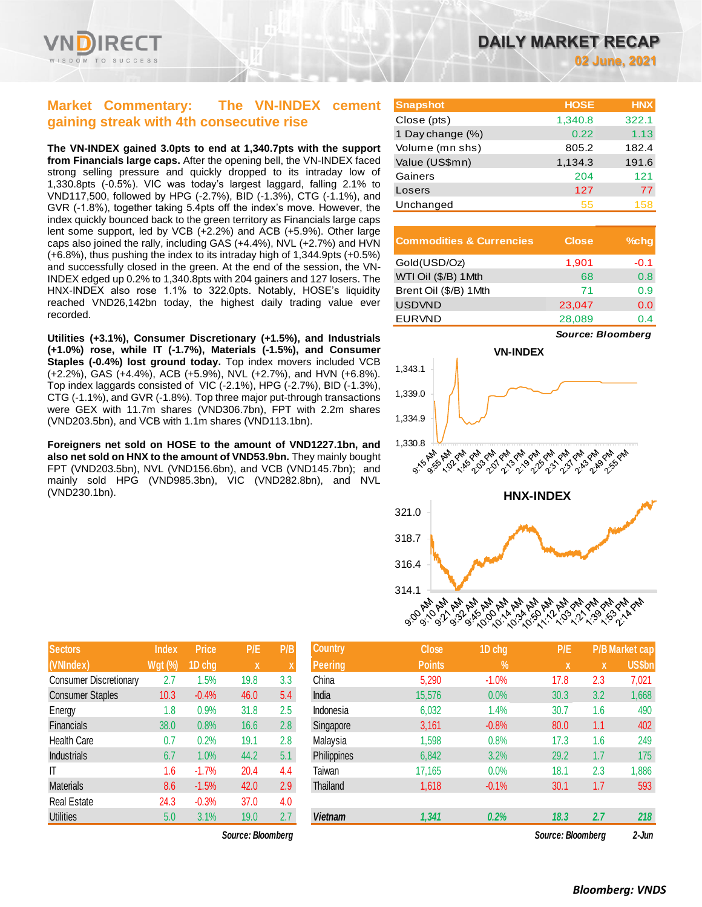

### **Market Commentary: The VN-INDEX cement gaining streak with 4th consecutive rise**

**The VN-INDEX gained 3.0pts to end at 1,340.7pts with the support from Financials large caps.** After the opening bell, the VN-INDEX faced strong selling pressure and quickly dropped to its intraday low of 1,330.8pts (-0.5%). VIC was today's largest laggard, falling 2.1% to VND117,500, followed by HPG (-2.7%), BID (-1.3%), CTG (-1.1%), and GVR (-1.8%), together taking 5.4pts off the index's move. However, the index quickly bounced back to the green territory as Financials large caps lent some support, led by VCB (+2.2%) and ACB (+5.9%). Other large caps also joined the rally, including GAS (+4.4%), NVL (+2.7%) and HVN (+6.8%), thus pushing the index to its intraday high of 1,344.9pts (+0.5%) and successfully closed in the green. At the end of the session, the VN-INDEX edged up 0.2% to 1,340.8pts with 204 gainers and 127 losers. The HNX-INDEX also rose 1.1% to 322.0pts. Notably, HOSE's liquidity reached VND26,142bn today, the highest daily trading value ever recorded.

**Utilities (+3.1%), Consumer Discretionary (+1.5%), and Industrials (+1.0%) rose, while IT (-1.7%), Materials (-1.5%), and Consumer Staples (-0.4%) lost ground today.** Top index movers included VCB (+2.2%), GAS (+4.4%), ACB (+5.9%), NVL (+2.7%), and HVN (+6.8%). Top index laggards consisted of VIC (-2.1%), HPG (-2.7%), BID (-1.3%), CTG (-1.1%), and GVR (-1.8%). Top three major put-through transactions were GEX with 11.7m shares (VND306.7bn), FPT with 2.2m shares (VND203.5bn), and VCB with 1.1m shares (VND113.1bn).

**Foreigners net sold on HOSE to the amount of VND1227.1bn, and also net sold on HNX to the amount of VND53.9bn.** They mainly bought FPT (VND203.5bn), NVL (VND156.6bn), and VCB (VND145.7bn); and mainly sold HPG (VND985.3bn), VIC (VND282.8bn), and NVL (VND230.1bn).

| <b>Sectors</b>                | <b>Index</b>   | <b>Price</b> | P/E  | P/B |
|-------------------------------|----------------|--------------|------|-----|
| (VNIndex)                     | <b>Wgt (%)</b> | 1D chg       | X    | X   |
| <b>Consumer Discretionary</b> | 2.7            | 1.5%         | 19.8 | 3.3 |
| <b>Consumer Staples</b>       | 10.3           | $-0.4%$      | 46.0 | 5.4 |
| Energy                        | 1.8            | 0.9%         | 31.8 | 2.5 |
| Financials                    | 38.0           | 0.8%         | 16.6 | 2.8 |
| Health Care                   | 0.7            | 0.2%         | 19.1 | 2.8 |
| <b>Industrials</b>            | 6.7            | 1.0%         | 44.2 | 5.1 |
| IT                            | 1.6            | $-1.7%$      | 20.4 | 4.4 |
| <b>Materials</b>              | 8.6            | $-1.5%$      | 42.0 | 2.9 |
| <b>Real Estate</b>            | 24.3           | $-0.3%$      | 37.0 | 4.0 |
| <b>Utilities</b>              | 5.0            | 3.1%         | 19.0 | 2.7 |

*Source: Bloomberg Source: Bloomberg 2-Jun*

**02 June, 2021**

| <b>Snapshot</b>  | <b>HOSE</b> | <b>HNX</b> |
|------------------|-------------|------------|
| Close (pts)      | 1,340.8     | 322.1      |
| 1 Day change (%) | 0.22        | 1.13       |
| Volume (mn shs)  | 805.2       | 182.4      |
| Value (US\$mn)   | 1,134.3     | 191.6      |
| Gainers          | 204         | 121        |
| Losers           | 127         | 77         |
| Unchanged        | 55          | 158        |

| <b>Commodities &amp; Currencies</b> | <b>Close</b> | $%$ chq |
|-------------------------------------|--------------|---------|
| Gold(USD/Oz)                        | 1,901        | $-0.1$  |
| WTI Oil (\$/B) 1Mth                 | 68           | 0.8     |
| Brent Oil (\$/B) 1Mth               | 71           | 0.9     |
| <b>USDVND</b>                       | 23,047       | 0.0     |
| <b>EURVND</b>                       | 28,089       | 0 4     |

*Source: Bloomberg*



| <b>Sectors</b>                | Index          | <b>Price</b> | P/E               | P/B | <b>Country</b>     | <b>Close</b>  | 1D chg  | P/E               |     | <b>P/B Market cap</b> |
|-------------------------------|----------------|--------------|-------------------|-----|--------------------|---------------|---------|-------------------|-----|-----------------------|
| (VNIndex)                     | <b>Wgt (%)</b> | 1D chg       | x                 |     | <b>Peering</b>     | <b>Points</b> | $\%$    | X                 | ΙX. | US\$bn                |
| <b>Consumer Discretionary</b> | 2.7            | $1.5\%$      | 19.8              | 3.3 | China              | 5,290         | $-1.0%$ | 17.8              | 2.3 | 7,021                 |
| <b>Consumer Staples</b>       | 10.3           | $-0.4%$      | 46.0              | 5.4 | India              | 15,576        | 0.0%    | 30.3              | 3.2 | 1,668                 |
| Energy                        | 1.8            | 0.9%         | 31.8              | 2.5 | Indonesia          | 6,032         | 1.4%    | 30.7              | 1.6 | 490                   |
| Financials                    | 38.0           | 0.8%         | 16.6              | 2.8 | Singapore          | 3,161         | $-0.8%$ | 80.0              | 1.1 | 402                   |
| <b>Health Care</b>            | 0.7            | 0.2%         | 19.1              | 2.8 | Malaysia           | 1,598         | 0.8%    | 17.3              | 1.6 | 249                   |
| Industrials                   | 6.7            | 1.0%         | 44.2              | 5.1 | <b>Philippines</b> | 6,842         | 3.2%    | 29.2              | 1.7 | 175                   |
| IΤ                            | 1.6            | $-1.7%$      | 20.4              | 4.4 | Taiwan             | 17,165        | 0.0%    | 18.1              | 2.3 | 1,886                 |
| Materials                     | 8.6            | $-1.5%$      | 42.0              | 2.9 | Thailand           | 1,618         | $-0.1%$ | 30.1              | 1.7 | 593                   |
| Real Estate                   | 24.3           | $-0.3%$      | 37.0              | 4.0 |                    |               |         |                   |     |                       |
| <b>Utilities</b>              | 5.0            | 3.1%         | 19.0              | 2.7 | <b>Vietnam</b>     | 1,341         | 0.2%    | 18.3              | 2.7 | 218                   |
|                               |                |              | Source: Bloomberg |     |                    |               |         | Source: Bloomberg |     | $2 - \ln n$           |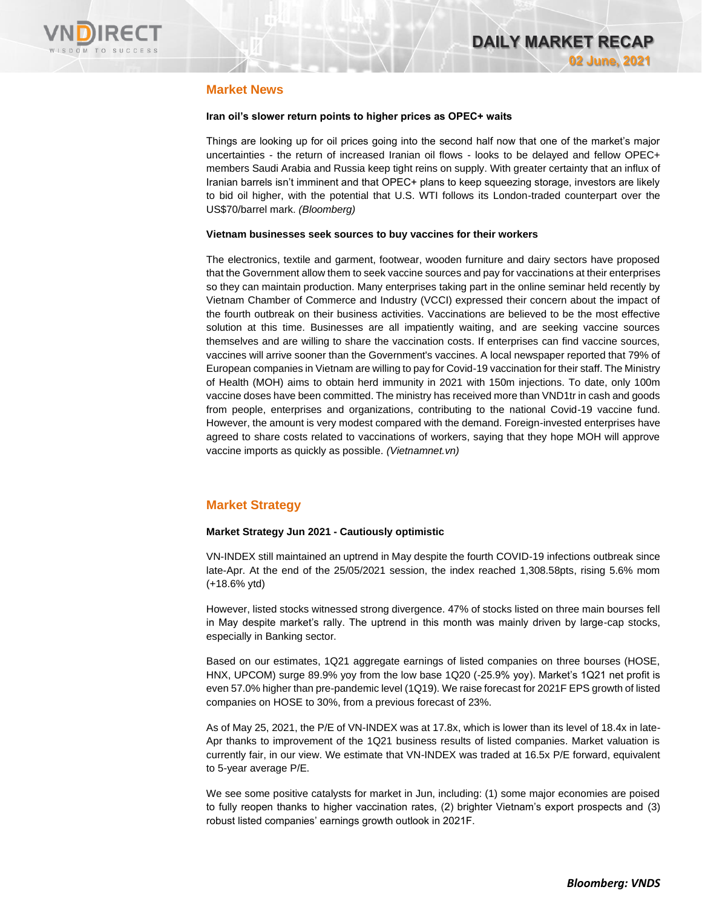

### **Market News**

#### **Iran oil's slower return points to higher prices as OPEC+ waits**

Things are looking up for oil prices going into the second half now that one of the market's major uncertainties - the return of increased Iranian oil flows - looks to be delayed and fellow OPEC+ members Saudi Arabia and Russia keep tight reins on supply. With greater certainty that an influx of Iranian barrels isn't imminent and that OPEC+ plans to keep squeezing storage, investors are likely to bid oil higher, with the potential that U.S. WTI follows its London-traded counterpart over the US\$70/barrel mark. *(Bloomberg)*

#### **Vietnam businesses seek sources to buy vaccines for their workers**

The electronics, textile and garment, footwear, wooden furniture and dairy sectors have proposed that the Government allow them to seek vaccine sources and pay for vaccinations at their enterprises so they can maintain production. Many enterprises taking part in the online seminar held recently by Vietnam Chamber of Commerce and Industry (VCCI) expressed their concern about the impact of the fourth outbreak on their business activities. Vaccinations are believed to be the most effective solution at this time. Businesses are all impatiently waiting, and are seeking vaccine sources themselves and are willing to share the vaccination costs. If enterprises can find vaccine sources, vaccines will arrive sooner than the Government's vaccines. A local newspaper reported that 79% of European companies in Vietnam are willing to pay for Covid-19 vaccination for their staff. The Ministry of Health (MOH) aims to obtain herd immunity in 2021 with 150m injections. To date, only 100m vaccine doses have been committed. The ministry has received more than VND1tr in cash and goods from people, enterprises and organizations, contributing to the national Covid-19 vaccine fund. However, the amount is very modest compared with the demand. Foreign-invested enterprises have agreed to share costs related to vaccinations of workers, saying that they hope MOH will approve vaccine imports as quickly as possible. *(Vietnamnet.vn)*

### **Market Strategy**

### **Market Strategy Jun 2021 - Cautiously optimistic**

VN-INDEX still maintained an uptrend in May despite the fourth COVID-19 infections outbreak since late-Apr. At the end of the 25/05/2021 session, the index reached 1,308.58pts, rising 5.6% mom (+18.6% ytd)

However, listed stocks witnessed strong divergence. 47% of stocks listed on three main bourses fell in May despite market's rally. The uptrend in this month was mainly driven by large-cap stocks, especially in Banking sector.

Based on our estimates, 1Q21 aggregate earnings of listed companies on three bourses (HOSE, HNX, UPCOM) surge 89.9% yoy from the low base 1Q20 (-25.9% yoy). Market's 1Q21 net profit is even 57.0% higher than pre-pandemic level (1Q19). We raise forecast for 2021F EPS growth of listed companies on HOSE to 30%, from a previous forecast of 23%.

As of May 25, 2021, the P/E of VN-INDEX was at 17.8x, which is lower than its level of 18.4x in late-Apr thanks to improvement of the 1Q21 business results of listed companies. Market valuation is currently fair, in our view. We estimate that VN-INDEX was traded at 16.5x P/E forward, equivalent to 5-year average P/E.

We see some positive catalysts for market in Jun, including: (1) some major economies are poised to fully reopen thanks to higher vaccination rates, (2) brighter Vietnam's export prospects and (3) robust listed companies' earnings growth outlook in 2021F.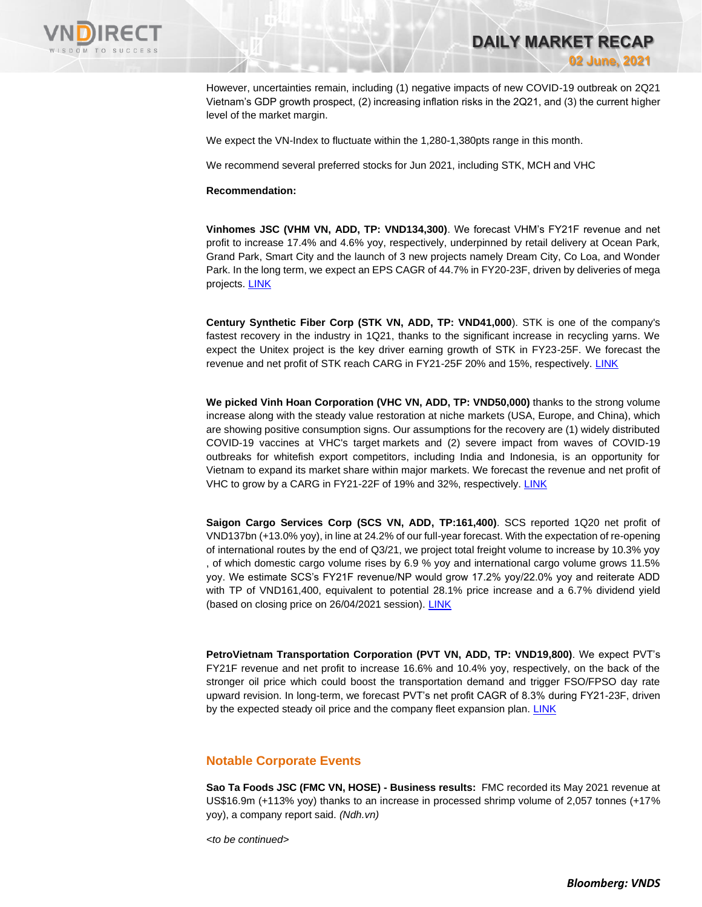

However, uncertainties remain, including (1) negative impacts of new COVID-19 outbreak on 2Q21 Vietnam's GDP growth prospect, (2) increasing inflation risks in the 2Q21, and (3) the current higher level of the market margin.

**DAILY MARKET RECAP** 

**02 June, 2021**

We expect the VN-Index to fluctuate within the 1,280-1,380pts range in this month.

We recommend several preferred stocks for Jun 2021, including STK, MCH and VHC

#### **Recommendation:**

**Vinhomes JSC (VHM VN, ADD, TP: VND134,300)**. We forecast VHM's FY21F revenue and net profit to increase 17.4% and 4.6% yoy, respectively, underpinned by retail delivery at Ocean Park, Grand Park, Smart City and the launch of 3 new projects namely Dream City, Co Loa, and Wonder Park. In the long term, we expect an EPS CAGR of 44.7% in FY20-23F, driven by deliveries of mega projects. [LINK](https://apc01.safelinks.protection.outlook.com/?url=https%3A%2F%2Fv43o.trk.elasticemail.com%2Ftracking%2Fclick%3Fd%3DfAYGeujuNXBqQot_ZbF6_0K9zOQZPTu-oYIkqZJdtL7EZsgY8SPyw6fxuRq3QYaHIkF0cqcaJ3eqTPQVyqF6j879z6fybqmW4JclX9pHFzHcApqdOomZRF5YTzheDWY_dBAhg_V4OmkcIOaOxwWY2umcmNy9LX6zQmxWc6rBZwamst8EZLcJxhHgvrBQc0ay-7nxspIg7yAS5Q4zesMM9DIhVhDNZvb2sPS05bXKkcnNXhcdMtzsO54_KaErY9XZvUxeOFcV0TiCESPBK-Q-GThv_PXTNpeNKDbol1sxXcIWCWD_PSoUo8Krj9kk7qMB31bg_3ZtBl-IhXPSjne9vaGw1YeTOllacnMevpBSko8qhW71CFDwWLPX9GKXWjecPJW1GdEOoCar2L65pMGTOvpJ9UoC-_vWCP9naBHlqh-d0&data=04%7C01%7Canh.phanvan%40vndirect.com.vn%7C775c57dcbe8c401a2d9008d924f7db3e%7C205877dd7b5242a0869607cbd63de0f4%7C0%7C0%7C637581469238307052%7CUnknown%7CTWFpbGZsb3d8eyJWIjoiMC4wLjAwMDAiLCJQIjoiV2luMzIiLCJBTiI6Ik1haWwiLCJXVCI6Mn0%3D%7C1000&sdata=ihGkT%2BoyMU15L0cCjJHpaQC6uljoYKxjKkpRzxBMFAA%3D&reserved=0)

**Century Synthetic Fiber Corp (STK VN, ADD, TP: VND41,000**). STK is one of the company's fastest recovery in the industry in 1Q21, thanks to the significant increase in recycling yarns. We expect the Unitex project is the key driver earning growth of STK in FY23-25F. We forecast the revenue and net profit of STK reach CARG in FY21-25F 20% and 15%, respectively. [LINK](https://apc01.safelinks.protection.outlook.com/?url=https%3A%2F%2Fv43o.trk.elasticemail.com%2Ftracking%2Fclick%3Fd%3DBRjo_SNZsvRyXd_nVzS5Mj6EQfN47_72Ev6fws5JPgOjqYwEYSWrhbyy0UAwMxjGRLIgrFW5G3zg83GtTMMOQA3HPyHyM7vyFv4i_RavxwzmybQqqvHs7-SPCq0DEKAfLIW-DW2kNsElPWzP2XP4V1O7ivMkRwpDq-Z0Z0DDzsvUJeLV2c7wp4R36Qy_sRJXFto-cuB-UoY-0AAnvxyWSgE03DMTMDU_bUV_rvxfoC6vbUP7AH6Yj_kqYwcdOfgvdVvmV2STf-ijgO9qg4I0F_l2AQm2lQkvhnLHzcfJz-i2NhDt6sf2AYyX2CNALzDOrVxBRewk_68Ic47nTZau8WCLKsyFmjchf2prshEP3mpe5niNSC5yIMNdWOTf__tr8Pu-SZ_eFlrQa-2L8azsoa-Z6YC7F0VCS6Hy3Pj6anl7TDlLjDgc-aMCI2tQuOEg_Q2&data=04%7C01%7Canh.phanvan%40vndirect.com.vn%7C775c57dcbe8c401a2d9008d924f7db3e%7C205877dd7b5242a0869607cbd63de0f4%7C0%7C0%7C637581469238307052%7CUnknown%7CTWFpbGZsb3d8eyJWIjoiMC4wLjAwMDAiLCJQIjoiV2luMzIiLCJBTiI6Ik1haWwiLCJXVCI6Mn0%3D%7C1000&sdata=Qa8HlTdzfgkVpNL5QBY1Jr3%2BIalXQRDBc6a0fz8lbbA%3D&reserved=0)

**We picked Vinh Hoan Corporation (VHC VN, ADD, TP: VND50,000)** thanks to the strong volume increase along with the steady value restoration at niche markets (USA, Europe, and China), which are showing positive consumption signs. Our assumptions for the recovery are (1) widely distributed COVID-19 vaccines at VHC's target markets and (2) severe impact from waves of COVID-19 outbreaks for whitefish export competitors, including India and Indonesia, is an opportunity for Vietnam to expand its market share within major markets. We forecast the revenue and net profit of VHC to grow by a CARG in FY21-22F of 19% and 32%, respectively. [LINK](https://apc01.safelinks.protection.outlook.com/?url=https%3A%2F%2Fv43o.trk.elasticemail.com%2Ftracking%2Fclick%3Fd%3D62sPyXieZYX6mGV3RunXFCgSe-15p1j2xjbnOJ2Ym3tdVX6P8EFgCFeK7un02NY5rPq5hYeaXpKjCp85uKCr1QscUPonBNZhwGgyIWgzc-_V1tHu961If9cP5h3m0jGfVSqSZ0Bm2UMpVpOOcrCaA4jk8HZCFBDd3fRMjFk5JLk6iEkYG6UEWgoLQkIh5ijLbB8SrmNH7BcLb-sbkuP8Th6xv4Ep4S7xR432q_NELZCzRBzZYFybua6Q3pQvL-BufswcLmepvtxk921gP1-MdYVUFfMP_67RNUftDkIb0wR_OXk7vv2km9GBamzsvkFHYsuve62jz412gLkoZiIJVnvpYFImelDqAFm06GIBuBONYBWqoii4Eg3uqe78SlFsIzP8HD36e_xpRwVF4WCl5HkbnRq9cPKk0NWMO-ivzT9I0&data=04%7C01%7Canh.phanvan%40vndirect.com.vn%7C775c57dcbe8c401a2d9008d924f7db3e%7C205877dd7b5242a0869607cbd63de0f4%7C0%7C0%7C637581469238317056%7CUnknown%7CTWFpbGZsb3d8eyJWIjoiMC4wLjAwMDAiLCJQIjoiV2luMzIiLCJBTiI6Ik1haWwiLCJXVCI6Mn0%3D%7C1000&sdata=WbATtikB%2BTcXENxwO8afZg881mruYs5Yoh7lVVJH1Dg%3D&reserved=0)

**Saigon Cargo Services Corp (SCS VN, ADD, TP:161,400)**. SCS reported 1Q20 net profit of VND137bn (+13.0% yoy), in line at 24.2% of our full-year forecast. With the expectation of re-opening of international routes by the end of Q3/21, we project total freight volume to increase by 10.3% yoy , of which domestic cargo volume rises by 6.9 % yoy and international cargo volume grows 11.5% yoy. We estimate SCS's FY21F revenue/NP would grow 17.2% yoy/22.0% yoy and reiterate ADD with TP of VND161,400, equivalent to potential 28.1% price increase and a 6.7% dividend yield (based on closing price on 26/04/2021 session). [LINK](https://apc01.safelinks.protection.outlook.com/?url=https%3A%2F%2Fv43o.trk.elasticemail.com%2Ftracking%2Fclick%3Fd%3DfAYGeujuNXBqQot_ZbF6_0K9zOQZPTu-oYIkqZJdtL7EZsgY8SPyw6fxuRq3QYaHIkF0cqcaJ3eqTPQVyqF6j879z6fybqmW4JclX9pHFzHcApqdOomZRF5YTzheDWY_N5rbCszEDM8KVmwYRMLCoQigj9oRVF8aFixN4DZZGXyFNcv98aZOv0QdmWNJMUubb88Ud_FdhLRJdN8ex4K18arR8hW3mQ0I_dkKGoLoY3rYp96h-Lobq5Y3MLQe2rorQGlc-QQaIOkXHsfAip7NcfgjqNnNDU4bq27Af1QyzeotMn0wP_NZO1DaeFba0v6KVuUJW2T70jtPzUmryhuyFMUbZ3oneF0KNwhTkr0LOHOuPb70pO7v-RNj12dG0yOSL02Bak_gj1VBwIYFyJuFqdlGpB3Mp2x1ZYwEqQ9QQzNg0&data=04%7C01%7Canh.phanvan%40vndirect.com.vn%7C775c57dcbe8c401a2d9008d924f7db3e%7C205877dd7b5242a0869607cbd63de0f4%7C0%7C0%7C637581469238327041%7CUnknown%7CTWFpbGZsb3d8eyJWIjoiMC4wLjAwMDAiLCJQIjoiV2luMzIiLCJBTiI6Ik1haWwiLCJXVCI6Mn0%3D%7C1000&sdata=uCldkUrvQwiJwmK8FJByfRK3tkOw9xODVe0AfVtNwq8%3D&reserved=0)

**PetroVietnam Transportation Corporation (PVT VN, ADD, TP: VND19,800)**. We expect PVT's FY21F revenue and net profit to increase 16.6% and 10.4% yoy, respectively, on the back of the stronger oil price which could boost the transportation demand and trigger FSO/FPSO day rate upward revision. In long-term, we forecast PVT's net profit CAGR of 8.3% during FY21-23F, driven by the expected steady oil price and the company fleet expansion plan. [LINK](https://apc01.safelinks.protection.outlook.com/?url=https%3A%2F%2Fv43o.trk.elasticemail.com%2Ftracking%2Fclick%3Fd%3D62sPyXieZYX6mGV3RunXFCgSe-15p1j2xjbnOJ2Ym3tdVX6P8EFgCFeK7un02NY5rPq5hYeaXpKjCp85uKCr1QJZUcv2IWatCZvxvIWlcvoX_enIo0EziFqj1IE63jkkA2GRL8JhfkskY04zR28DcrhQFL0yWUhVENGCZo2wWmm1IsGwP8o6BMOvp4-7bpABqKnc4P9zJ661axu6j1tMTNtdJ6Uf87sWxeUmdmId6SQktCFeGXl06vPnV6tziKqf7S_cGo1tOfTHRsJPhgxlib6VXnjV801wuvUv-yaVuIwrffNqvaaQtGzu2ED4z9OZSWjfUkG5Z_LVK7kZT1DqaVt76BRJmhzxq5SVvK7WDf-wjif5MGlgOY2HUcTwXP_NNNpqpqG43y1ahojCLUuYUFZlOSZIOdTMi-xXZv9eDCZq0&data=04%7C01%7Canh.phanvan%40vndirect.com.vn%7C775c57dcbe8c401a2d9008d924f7db3e%7C205877dd7b5242a0869607cbd63de0f4%7C0%7C0%7C637581469238327041%7CUnknown%7CTWFpbGZsb3d8eyJWIjoiMC4wLjAwMDAiLCJQIjoiV2luMzIiLCJBTiI6Ik1haWwiLCJXVCI6Mn0%3D%7C1000&sdata=q7c0pVvxxQHJha5%2FkBAlAt7S9GOghZLCRd11ySis0eo%3D&reserved=0)

### **Notable Corporate Events**

**Sao Ta Foods JSC (FMC VN, HOSE) - Business results:** FMC recorded its May 2021 revenue at US\$16.9m (+113% yoy) thanks to an increase in processed shrimp volume of 2,057 tonnes (+17% yoy), a company report said. *(Ndh.vn)*

*<to be continued>*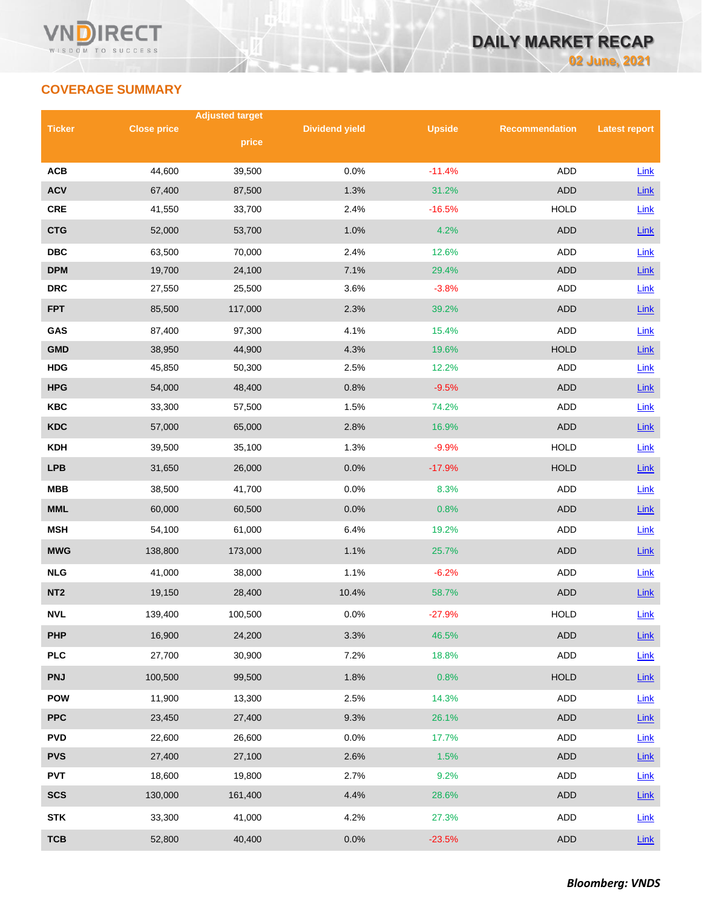## **COVERAGE SUMMARY**

|                 |                    | <b>Adjusted target</b> |                       |               |                       |                      |
|-----------------|--------------------|------------------------|-----------------------|---------------|-----------------------|----------------------|
| <b>Ticker</b>   | <b>Close price</b> | price                  | <b>Dividend yield</b> | <b>Upside</b> | <b>Recommendation</b> | <b>Latest report</b> |
|                 |                    |                        |                       |               |                       |                      |
| <b>ACB</b>      | 44,600             | 39,500                 | 0.0%                  | $-11.4%$      | <b>ADD</b>            | Link                 |
| <b>ACV</b>      | 67,400             | 87,500                 | 1.3%                  | 31.2%         | <b>ADD</b>            | $Link$               |
| <b>CRE</b>      | 41,550             | 33,700                 | 2.4%                  | $-16.5%$      | <b>HOLD</b>           | Link                 |
| <b>CTG</b>      | 52,000             | 53,700                 | 1.0%                  | 4.2%          | <b>ADD</b>            | Link                 |
| <b>DBC</b>      | 63,500             | 70,000                 | 2.4%                  | 12.6%         | ADD                   | Link                 |
| <b>DPM</b>      | 19,700             | 24,100                 | 7.1%                  | 29.4%         | <b>ADD</b>            | Link                 |
| <b>DRC</b>      | 27,550             | 25,500                 | 3.6%                  | $-3.8%$       | <b>ADD</b>            | Link                 |
| <b>FPT</b>      | 85,500             | 117,000                | 2.3%                  | 39.2%         | <b>ADD</b>            | Link                 |
| GAS             | 87,400             | 97,300                 | 4.1%                  | 15.4%         | <b>ADD</b>            | Link                 |
| <b>GMD</b>      | 38,950             | 44,900                 | 4.3%                  | 19.6%         | <b>HOLD</b>           | Link                 |
| <b>HDG</b>      | 45,850             | 50,300                 | 2.5%                  | 12.2%         | ADD                   | Link                 |
| <b>HPG</b>      | 54,000             | 48,400                 | 0.8%                  | $-9.5%$       | <b>ADD</b>            | Link                 |
| <b>KBC</b>      | 33,300             | 57,500                 | 1.5%                  | 74.2%         | ADD                   | Link                 |
| <b>KDC</b>      | 57,000             | 65,000                 | 2.8%                  | 16.9%         | <b>ADD</b>            | Link                 |
| <b>KDH</b>      | 39,500             | 35,100                 | 1.3%                  | $-9.9%$       | <b>HOLD</b>           | Link                 |
| <b>LPB</b>      | 31,650             | 26,000                 | 0.0%                  | $-17.9%$      | <b>HOLD</b>           | Link                 |
| <b>MBB</b>      | 38,500             | 41,700                 | 0.0%                  | 8.3%          | ADD                   | Link                 |
| <b>MML</b>      | 60,000             | 60,500                 | 0.0%                  | 0.8%          | <b>ADD</b>            | Link                 |
| <b>MSH</b>      | 54,100             | 61,000                 | 6.4%                  | 19.2%         | ADD                   | Link                 |
| <b>MWG</b>      | 138,800            | 173,000                | 1.1%                  | 25.7%         | <b>ADD</b>            | Link                 |
| <b>NLG</b>      | 41,000             | 38,000                 | 1.1%                  | $-6.2%$       | ADD                   | Link                 |
| NT <sub>2</sub> | 19,150             | 28,400                 | 10.4%                 | 58.7%         | <b>ADD</b>            | Link                 |
| <b>NVL</b>      | 139,400            | 100,500                | 0.0%                  | $-27.9%$      | <b>HOLD</b>           | Link                 |
| <b>PHP</b>      | 16,900             | 24,200                 | 3.3%                  | 46.5%         | ADD                   | $Link$               |
| <b>PLC</b>      | 27,700             | 30,900                 | 7.2%                  | 18.8%         | ADD                   | Link                 |
| <b>PNJ</b>      | 100,500            | 99,500                 | 1.8%                  | 0.8%          | <b>HOLD</b>           | Link                 |
| <b>POW</b>      | 11,900             | 13,300                 | 2.5%                  | 14.3%         | ADD                   | Link                 |
| <b>PPC</b>      | 23,450             | 27,400                 | 9.3%                  | 26.1%         | <b>ADD</b>            | $Link$               |
| <b>PVD</b>      | 22,600             | 26,600                 | 0.0%                  | 17.7%         | ADD                   | Link                 |
| <b>PVS</b>      | 27,400             | 27,100                 | 2.6%                  | 1.5%          | <b>ADD</b>            | $Link$               |
| <b>PVT</b>      | 18,600             | 19,800                 | 2.7%                  | 9.2%          | ADD                   | Link                 |
| <b>SCS</b>      | 130,000            | 161,400                | 4.4%                  | 28.6%         | ADD                   | <b>Link</b>          |
| <b>STK</b>      | 33,300             | 41,000                 | 4.2%                  | 27.3%         | ADD                   | Link                 |
| <b>TCB</b>      | 52,800             | 40,400                 | 0.0%                  | $-23.5%$      | <b>ADD</b>            | Link                 |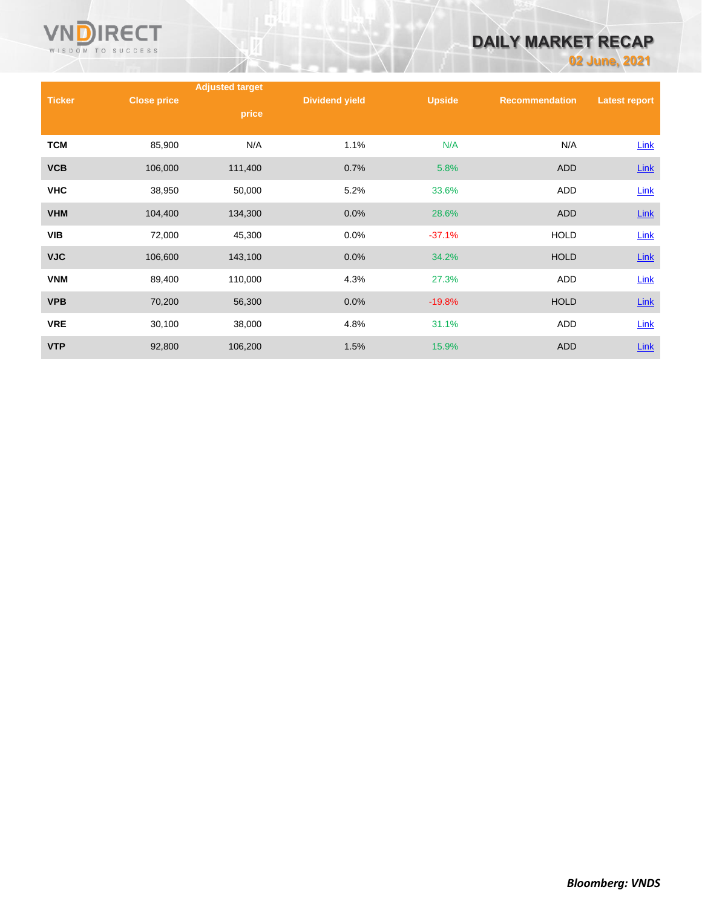

# **DAILY MARKET RECAP**

**02 June, 2021**

|               |                    | <b>Adjusted target</b> |                       |               |                       |                      |
|---------------|--------------------|------------------------|-----------------------|---------------|-----------------------|----------------------|
| <b>Ticker</b> | <b>Close price</b> |                        | <b>Dividend yield</b> | <b>Upside</b> | <b>Recommendation</b> | <b>Latest report</b> |
|               |                    | price                  |                       |               |                       |                      |
| <b>TCM</b>    | 85,900             | N/A                    | 1.1%                  | N/A           | N/A                   | Link                 |
| <b>VCB</b>    | 106,000            | 111,400                | 0.7%                  | 5.8%          | <b>ADD</b>            | $Link$               |
| <b>VHC</b>    | 38,950             | 50,000                 | 5.2%                  | 33.6%         | <b>ADD</b>            | Link                 |
| <b>VHM</b>    | 104,400            | 134,300                | 0.0%                  | 28.6%         | <b>ADD</b>            | $Link$               |
| <b>VIB</b>    | 72,000             | 45,300                 | 0.0%                  | $-37.1%$      | <b>HOLD</b>           | Link                 |
| <b>VJC</b>    | 106,600            | 143,100                | 0.0%                  | 34.2%         | <b>HOLD</b>           | <b>Link</b>          |
| <b>VNM</b>    | 89,400             | 110,000                | 4.3%                  | 27.3%         | ADD                   | Link                 |
| <b>VPB</b>    | 70,200             | 56,300                 | 0.0%                  | $-19.8%$      | <b>HOLD</b>           | $Link$               |
| <b>VRE</b>    | 30,100             | 38,000                 | 4.8%                  | 31.1%         | <b>ADD</b>            | Link                 |
| <b>VTP</b>    | 92,800             | 106,200                | 1.5%                  | 15.9%         | <b>ADD</b>            | Link                 |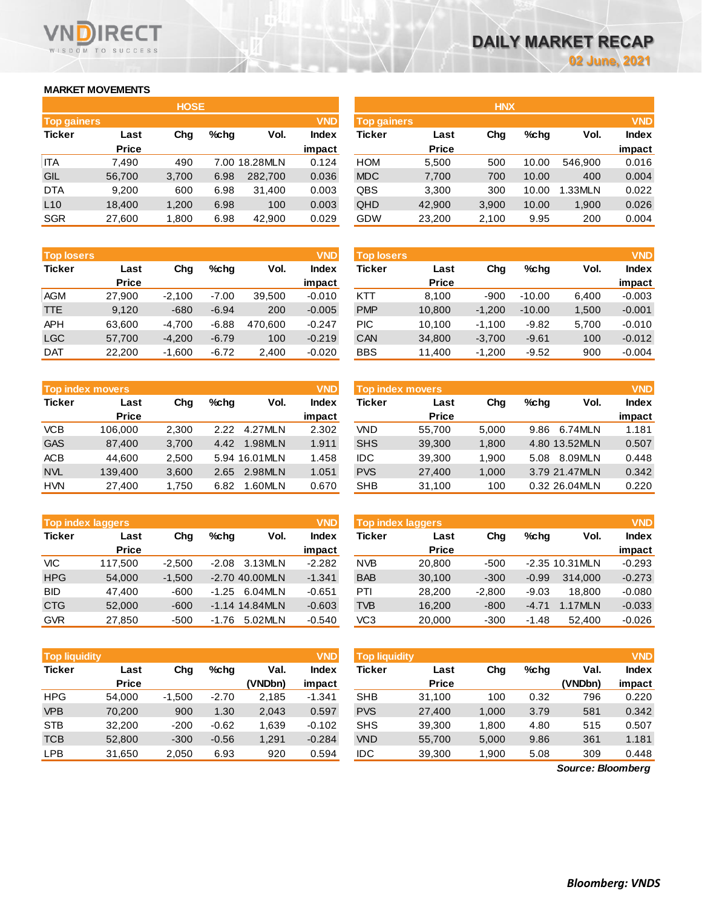### **MARKET MOVEMENTS**

WISDOM TO SUCCESS

ECT

|                    | <b>HOSE</b>  |       |      |               |              |  |  |  |  |  |  |
|--------------------|--------------|-------|------|---------------|--------------|--|--|--|--|--|--|
| <b>Top gainers</b> |              |       |      |               | <b>VND</b>   |  |  |  |  |  |  |
| <b>Ticker</b>      | Last         | Cha   | %chq | Vol.          | <b>Index</b> |  |  |  |  |  |  |
|                    | <b>Price</b> |       |      |               | impact       |  |  |  |  |  |  |
| <b>ITA</b>         | 7.490        | 490   |      | 7.00 18.28MLN | 0.124        |  |  |  |  |  |  |
| GIL                | 56,700       | 3,700 | 6.98 | 282,700       | 0.036        |  |  |  |  |  |  |
| <b>DTA</b>         | 9,200        | 600   | 6.98 | 31,400        | 0.003        |  |  |  |  |  |  |
| L10                | 18,400       | 1,200 | 6.98 | 100           | 0.003        |  |  |  |  |  |  |
| <b>SGR</b>         | 27,600       | 1,800 | 6.98 | 42,900        | 0.029        |  |  |  |  |  |  |

| <b>HOSE</b>                                     | <b>HNX</b>                             |  |  |  |  |
|-------------------------------------------------|----------------------------------------|--|--|--|--|
| <b>VND</b><br><b>Top gainers</b>                | <b>VND</b>                             |  |  |  |  |
| Vol.<br>$%$ chq<br>Index<br>Ticker<br>Last      | $%$ chq<br>Vol.<br><b>Index</b><br>Chg |  |  |  |  |
| <b>Price</b><br>impact                          | impact                                 |  |  |  |  |
| <b>HOM</b><br>7.00 18.28MLN<br>0.124<br>5,500   | 10.00<br>0.016<br>546.900<br>500       |  |  |  |  |
| <b>MDC</b><br>0.036<br>6.98<br>282,700<br>7,700 | 700<br>0.004<br>10.00<br>400           |  |  |  |  |
| QBS<br>6.98<br>0.003<br>3,300<br>31,400         | 0.022<br>300<br>1.33MLN<br>10.00       |  |  |  |  |
| QHD<br>0.003<br>6.98<br>42,900<br>100           | 0.026<br>3,900<br>10.00<br>1,900       |  |  |  |  |
| <b>GDW</b><br>6.98<br>0.029<br>42,900<br>23,200 | 0.004<br>200<br>2,100<br>9.95          |  |  |  |  |
|                                                 |                                        |  |  |  |  |

| <b>Top losers</b> |              |          |         |         | <b>VND</b> | Top losers |              |          |          |       | <b>VND</b>   |
|-------------------|--------------|----------|---------|---------|------------|------------|--------------|----------|----------|-------|--------------|
| <b>Ticker</b>     | Last         | Chg      | %cha    | Vol.    | Index      | Ticker     | Last         | Chg      | $%$ chq  | Vol.  | <b>Index</b> |
|                   | <b>Price</b> |          |         |         | impact     |            | <b>Price</b> |          |          |       | impact       |
| <b>AGM</b>        | 27,900       | $-2.100$ | $-7.00$ | 39,500  | $-0.010$   | KTT        | 8.100        | $-900$   | $-10.00$ | 6.400 | $-0.003$     |
| <b>TTE</b>        | 9,120        | $-680$   | $-6.94$ | 200     | $-0.005$   | <b>PMP</b> | 10,800       | $-1,200$ | $-10.00$ | 1,500 | $-0.001$     |
| <b>APH</b>        | 63,600       | $-4.700$ | $-6.88$ | 470.600 | $-0.247$   | PIC        | 10.100       | $-1.100$ | $-9.82$  | 5,700 | $-0.010$     |
| <b>LGC</b>        | 57.700       | $-4.200$ | $-6.79$ | 100     | $-0.219$   | <b>CAN</b> | 34,800       | $-3.700$ | $-9.61$  | 100   | $-0.012$     |
| <b>DAT</b>        | 22,200       | $-1.600$ | $-6.72$ | 2.400   | $-0.020$   | <b>BBS</b> | 11.400       | $-1.200$ | $-9.52$  | 900   | $-0.004$     |

| <b>Top index movers</b> |              |       |      |               |        |  |  |  |  |
|-------------------------|--------------|-------|------|---------------|--------|--|--|--|--|
| <b>Ticker</b>           | Last         | Cha   | %chq | Vol.          | Index  |  |  |  |  |
|                         | <b>Price</b> |       |      |               | impact |  |  |  |  |
| <b>VCB</b>              | 106,000      | 2,300 | 2.22 | 4.27MLN       | 2.302  |  |  |  |  |
| <b>GAS</b>              | 87,400       | 3,700 | 4.42 | 1.98MLN       | 1.911  |  |  |  |  |
| <b>ACB</b>              | 44.600       | 2.500 |      | 5.94 16.01MLN | 1.458  |  |  |  |  |
| <b>NVL</b>              | 139,400      | 3,600 | 2.65 | 2.98MLN       | 1.051  |  |  |  |  |
| <b>HVN</b>              | 27,400       | 1,750 | 6.82 | 1.60MLN       | 0.670  |  |  |  |  |

| <b>Top index laggers</b> |              |          |         |                  |              |  |  |  |  |  |
|--------------------------|--------------|----------|---------|------------------|--------------|--|--|--|--|--|
| <b>Ticker</b>            | Last         | Cha      | $%$ chq | Vol.             | <b>Index</b> |  |  |  |  |  |
|                          | <b>Price</b> |          |         |                  | impact       |  |  |  |  |  |
| VIC                      | 117,500      | $-2,500$ | $-2.08$ | 3.13MLN          | $-2.282$     |  |  |  |  |  |
| <b>HPG</b>               | 54.000       | $-1,500$ |         | -2.70 40.00MLN   | $-1.341$     |  |  |  |  |  |
| <b>BID</b>               | 47.400       | $-600$   | $-1.25$ | 6.04MLN          | $-0.651$     |  |  |  |  |  |
| <b>CTG</b>               | 52,000       | $-600$   |         | $-1.14$ 14.84MLN | $-0.603$     |  |  |  |  |  |
| <b>GVR</b>               | 27,850       | $-500$   | $-1.76$ | 5.02MLN          | $-0.540$     |  |  |  |  |  |

| <b>Top losers</b> |              |          |         |         | VND      | <b>Top losers</b> |              |          |          |       | VNDI     |
|-------------------|--------------|----------|---------|---------|----------|-------------------|--------------|----------|----------|-------|----------|
| Ticker            | Last         | Chg      | $%$ chq | Vol.    | Index    | Ticker            | Last         | Chg      | %chq     | Vol.  | Index    |
|                   | <b>Price</b> |          |         |         | impact   |                   | <b>Price</b> |          |          |       | impact   |
| AGM               | 27,900       | $-2.100$ | $-7.00$ | 39.500  | $-0.010$ | KTT               | 8,100        | $-900$   | $-10.00$ | 6.400 | $-0.003$ |
| TTE               | 9.120        | $-680$   | $-6.94$ | 200     | $-0.005$ | <b>PMP</b>        | 10.800       | $-1.200$ | $-10.00$ | 1.500 | $-0.001$ |
| APH               | 63,600       | $-4.700$ | $-6.88$ | 470.600 | $-0.247$ | <b>PIC</b>        | 10.100       | $-1.100$ | $-9.82$  | 5.700 | $-0.010$ |
| LGC               | 57.700       | $-4.200$ | $-6.79$ | 100     | $-0.219$ | CAN               | 34,800       | $-3,700$ | $-9.61$  | 100   | $-0.012$ |
| <b>DAT</b>        | 22.200       | $-1,600$ | $-6.72$ | 2,400   | $-0.020$ | <b>BBS</b>        | 11.400       | $-1.200$ | $-9.52$  | 900   | $-0.004$ |

|            | <b>Top index movers</b> |       |         |                | <b>VND</b>   | <b>VND</b><br><b>Top index movers</b> |              |       |         |                |        |
|------------|-------------------------|-------|---------|----------------|--------------|---------------------------------------|--------------|-------|---------|----------------|--------|
| Ticker     | Last                    | Chg   | $%$ chq | Vol.           | <b>Index</b> | Ticker                                | Last         | Chg   | $%$ chq | Vol.           | Index  |
|            | <b>Price</b>            |       |         |                | impact       |                                       | <b>Price</b> |       |         |                | impact |
| <b>VCB</b> | 106.000                 | 2.300 | 2.22    | 4.27MLN        | 2.302        | VND                                   | 55.700       | 5.000 | 9.86    | 6.74MLN        | 1.181  |
| <b>GAS</b> | 87.400                  | 3,700 | 4.42    | 1.98MLN        | 1.911        | <b>SHS</b>                            | 39,300       | 1,800 |         | 4.80 13.52MLN  | 0.507  |
| ACB        | 44.600                  | 2.500 |         | 5.94 16.01 MLN | 1.458        | <b>IDC</b>                            | 39.300       | 1.900 | 5.08    | 8.09MLN        | 0.448  |
| <b>NVL</b> | 139,400                 | 3,600 | 2.65    | 2.98MLN        | 1.051        | <b>PVS</b>                            | 27,400       | 1,000 |         | 3.79 21.47MLN  | 0.342  |
| <b>HVN</b> | 27,400                  | 1.750 | 6.82    | 1.60MLN        | 0.670        | <b>SHB</b>                            | 31,100       | 100   |         | 0.32 26.04 MLN | 0.220  |

| <b>Top index laggers</b> |              |          |         |                  | VND      |            | Top index laggers |          |         |                     |          |  |
|--------------------------|--------------|----------|---------|------------------|----------|------------|-------------------|----------|---------|---------------------|----------|--|
| Ticker                   | Last         | Chg      | $%$ chq | Vol.             | Index    | Ticker     | Last              | Chg      | $%$ chq | Vol.                | Index    |  |
|                          | <b>Price</b> |          |         |                  | impact   |            | <b>Price</b>      |          |         |                     | impact   |  |
| VIC                      | 117.500      | $-2.500$ | $-2.08$ | 3.13MLN          | $-2.282$ | <b>NVB</b> | 20,800            | $-500$   |         | $-2.35$ 10.31 MLN   | $-0.293$ |  |
| <b>HPG</b>               | 54,000       | $-1.500$ |         | $-2.70$ 40.00MLN | $-1.341$ | <b>BAB</b> | 30,100            | $-300$   | $-0.99$ | 314.000             | $-0.273$ |  |
| <b>BID</b>               | 47.400       | $-600$   | $-1.25$ | 6.04MLN          | $-0.651$ | PTI        | 28,200            | $-2.800$ | $-9.03$ | 18.800              | $-0.080$ |  |
| <b>CTG</b>               | 52,000       | $-600$   |         | $-1.14$ 14.84MLN | $-0.603$ | <b>TVB</b> | 16.200            | $-800$   | $-4.71$ | .17M <sub>l</sub> N | $-0.033$ |  |
| <b>GVR</b>               | 27,850       | $-500$   | $-1.76$ | 5.02MLN          | $-0.540$ | VC3        | 20,000            | $-300$   | $-1.48$ | 52.400              | $-0.026$ |  |

| Top liquidity |              |          |         |         | <b>VND</b> | <b>Top liquidity</b> |              |       |         |         | <b>VND</b> |
|---------------|--------------|----------|---------|---------|------------|----------------------|--------------|-------|---------|---------|------------|
| <b>Ticker</b> | Last         | Chg      | $%$ chq | Val.    | Index      | <b>Ticker</b>        | Last         | Chg   | $%$ chq | Val.    | Index      |
|               | <b>Price</b> |          |         | (VNDbn) | impact     |                      | <b>Price</b> |       |         | (VNDbn) | impact     |
| <b>HPG</b>    | 54.000       | $-1.500$ | $-2.70$ | 2.185   | $-1.341$   | <b>SHB</b>           | 31.100       | 100   | 0.32    | 796     | 0.220      |
| <b>VPB</b>    | 70.200       | 900      | 1.30    | 2,043   | 0.597      | <b>PVS</b>           | 27,400       | 1,000 | 3.79    | 581     | 0.342      |
| <b>STB</b>    | 32,200       | $-200$   | $-0.62$ | 1.639   | $-0.102$   | <b>SHS</b>           | 39,300       | 1.800 | 4.80    | 515     | 0.507      |
| <b>TCB</b>    | 52,800       | $-300$   | $-0.56$ | 1,291   | $-0.284$   | <b>VND</b>           | 55,700       | 5,000 | 9.86    | 361     | 1.181      |
| <b>LPB</b>    | 31,650       | 2,050    | 6.93    | 920     | 0.594      | <b>IDC</b>           | 39,300       | 1,900 | 5.08    | 309     | 0.448      |

*Source: Bloomberg*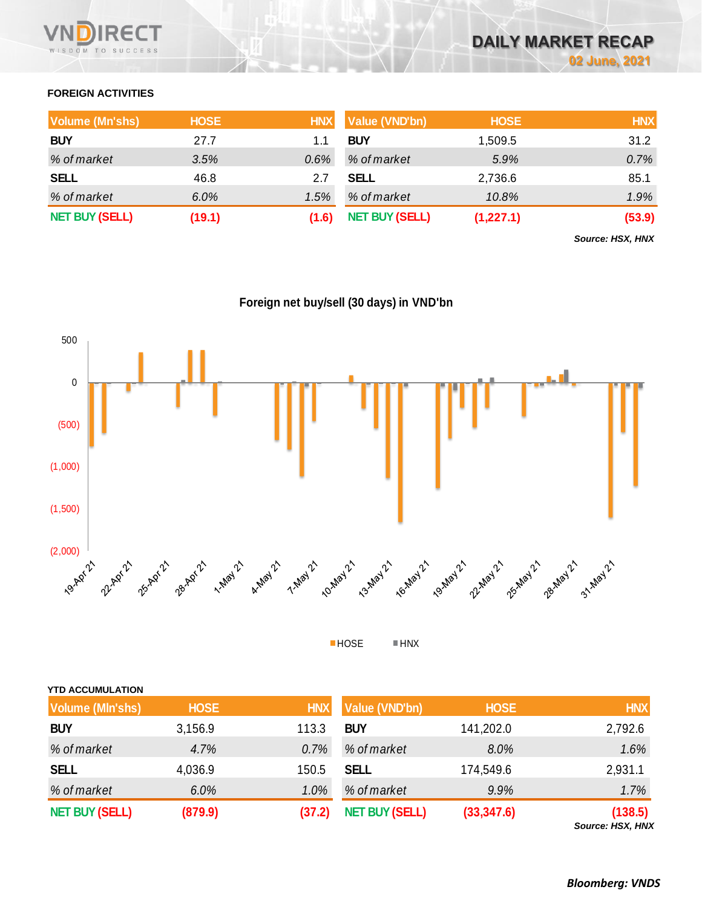

### **FOREIGN ACTIVITIES**

| <b>Volume (Mn'shs)</b> | <b>HOSE</b> | <b>HNX</b> | Value (VND'bn)        | <b>HOSE</b> | <b>HNX</b> |
|------------------------|-------------|------------|-----------------------|-------------|------------|
| <b>BUY</b>             | 27.7        |            | <b>BUY</b>            | 1,509.5     | 31.2       |
| % of market            | 3.5%        | 0.6%       | % of market           | 5.9%        | 0.7%       |
| <b>SELL</b>            | 46.8        | 2.7        | <b>SELL</b>           | 2,736.6     | 85.1       |
| % of market            | $6.0\%$     | 1.5%       | % of market           | 10.8%       | $1.9\%$    |
| <b>NET BUY (SELL)</b>  | (19.1)      | (1.6)      | <b>NET BUY (SELL)</b> | (1,227.1)   | (53.9)     |

*Source: HSX, HNX*

**Foreign net buy/sell (30 days) in VND'bn**



HOSE HNX

| <b>YTD ACCUMULATION</b> |             |            |                       |             |            |
|-------------------------|-------------|------------|-----------------------|-------------|------------|
| <b>Volume (MIn'shs)</b> | <b>HOSE</b> | <b>HNX</b> | Value (VND'bn)        | <b>HOSE</b> | <b>HNX</b> |
| <b>BUY</b>              | 3,156.9     | 113.3      | <b>BUY</b>            | 141,202.0   | 2,792.6    |
| % of market             | 4.7%        | 0.7%       | % of market           | 8.0%        | 1.6%       |
| <b>SELL</b>             | 4,036.9     | 150.5      | <b>SELL</b>           | 174,549.6   | 2,931.1    |
| % of market             | 6.0%        | 1.0%       | % of market           | 9.9%        | 1.7%       |
| <b>NET BUY (SELL)</b>   | (879.9)     | (37.2)     | <b>NET BUY (SELL)</b> | (33, 347.6) | (138.5)    |

*Source: HSX, HNX*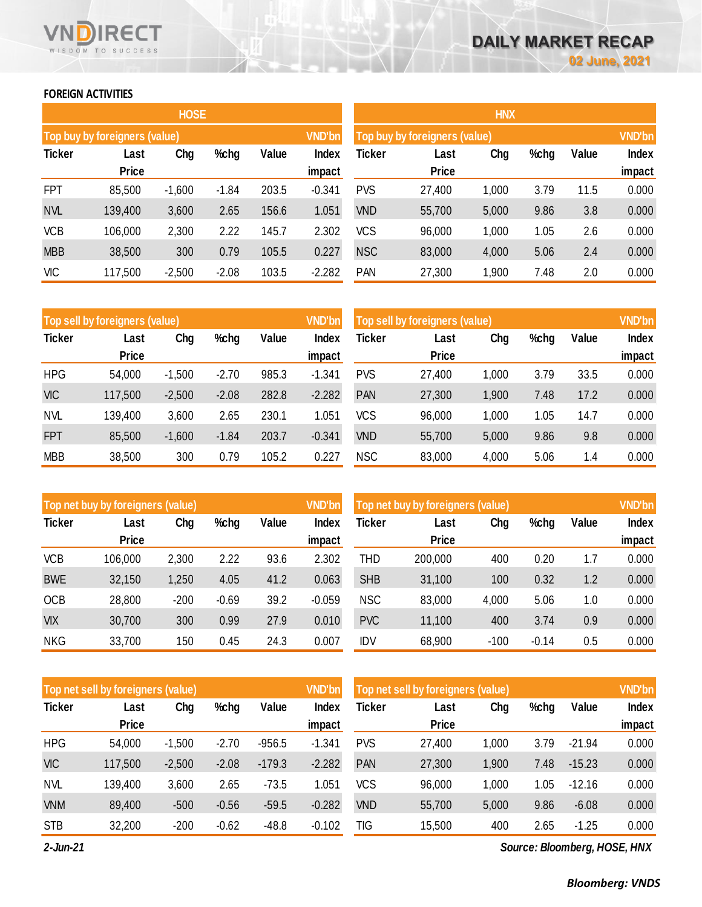### **FOREIGN ACTIVITIES**

WISDOM TO SUCCESS

RECT

|               |                               | <b>HOSE</b> |         |       |               | <b>HNX</b>                    |              |               |      |       |        |  |
|---------------|-------------------------------|-------------|---------|-------|---------------|-------------------------------|--------------|---------------|------|-------|--------|--|
|               | Top buy by foreigners (value) |             |         |       | <b>VND'bn</b> | Top buy by foreigners (value) |              | <b>VND'bn</b> |      |       |        |  |
| <b>Ticker</b> | Last                          | Chg         | %chg    | Value | Index         | <b>Ticker</b>                 | Last         | Chg           | %chg | Value | Index  |  |
|               | <b>Price</b>                  |             |         |       | impact        |                               | <b>Price</b> |               |      |       | impact |  |
| <b>FPT</b>    | 85,500                        | $-1,600$    | $-1.84$ | 203.5 | $-0.341$      | <b>PVS</b>                    | 27,400       | 1,000         | 3.79 | 11.5  | 0.000  |  |
| <b>NVL</b>    | 139,400                       | 3,600       | 2.65    | 156.6 | 1.051         | <b>VND</b>                    | 55,700       | 5,000         | 9.86 | 3.8   | 0.000  |  |
| <b>VCB</b>    | 106,000                       | 2,300       | 2.22    | 145.7 | 2.302         | VCS                           | 96,000       | 1,000         | 1.05 | 2.6   | 0.000  |  |
| <b>MBB</b>    | 38,500                        | 300         | 0.79    | 105.5 | 0.227         | <b>NSC</b>                    | 83,000       | 4,000         | 5.06 | 2.4   | 0.000  |  |
| <b>VIC</b>    | 117,500                       | $-2,500$    | $-2.08$ | 103.5 | $-2.282$      | <b>PAN</b>                    | 27,300       | 1,900         | 7.48 | 2.0   | 0.000  |  |

|               | Top sell by foreigners (value) |          |         |       | <b>VND'bn</b> | Top sell by foreigners (value) |              | <b>VND'bn</b> |      |       |        |
|---------------|--------------------------------|----------|---------|-------|---------------|--------------------------------|--------------|---------------|------|-------|--------|
| <b>Ticker</b> | Last                           | Chg      | %chg    | Value | Index         | Ticker                         | Last         | Chg           | %chg | Value | Index  |
|               | <b>Price</b>                   |          |         |       | impact        |                                | <b>Price</b> |               |      |       | impact |
| <b>HPG</b>    | 54,000                         | $-1,500$ | $-2.70$ | 985.3 | $-1.341$      | <b>PVS</b>                     | 27,400       | 1,000         | 3.79 | 33.5  | 0.000  |
| <b>VIC</b>    | 117,500                        | $-2,500$ | $-2.08$ | 282.8 | $-2.282$      | PAN                            | 27,300       | 1,900         | 7.48 | 17.2  | 0.000  |
| <b>NVL</b>    | 139,400                        | 3,600    | 2.65    | 230.1 | 1.051         | VCS                            | 96,000       | 1,000         | 1.05 | 14.7  | 0.000  |
| <b>FPT</b>    | 85,500                         | $-1,600$ | $-1.84$ | 203.7 | $-0.341$      | <b>VND</b>                     | 55,700       | 5,000         | 9.86 | 9.8   | 0.000  |
| <b>MBB</b>    | 38,500                         | 300      | 0.79    | 105.2 | 0.227         | <b>NSC</b>                     | 83,000       | 4,000         | 5.06 | 1.4   | 0.000  |

|               | Top net buy by foreigners (value) |        |         |       | <b>VND'bn</b> | Top net buy by foreigners (value) |              | <b>VND'bn</b> |         |       |        |
|---------------|-----------------------------------|--------|---------|-------|---------------|-----------------------------------|--------------|---------------|---------|-------|--------|
| <b>Ticker</b> | Last                              | Chg    | %chg    | Value | Index         | <b>Ticker</b>                     | Last         | Chg           | %chg    | Value | Index  |
|               | <b>Price</b>                      |        |         |       | impact        |                                   | <b>Price</b> |               |         |       | impact |
| <b>VCB</b>    | 106,000                           | 2,300  | 2.22    | 93.6  | 2.302         | THD                               | 200,000      | 400           | 0.20    | 1.7   | 0.000  |
| <b>BWE</b>    | 32,150                            | 1,250  | 4.05    | 41.2  | 0.063         | <b>SHB</b>                        | 31,100       | 100           | 0.32    | 1.2   | 0.000  |
| <b>OCB</b>    | 28,800                            | $-200$ | $-0.69$ | 39.2  | $-0.059$      | <b>NSC</b>                        | 83,000       | 4,000         | 5.06    | 1.0   | 0.000  |
| <b>VIX</b>    | 30,700                            | 300    | 0.99    | 27.9  | 0.010         | <b>PVC</b>                        | 11,100       | 400           | 3.74    | 0.9   | 0.000  |
| <b>NKG</b>    | 33,700                            | 150    | 0.45    | 24.3  | 0.007         | IDV                               | 68,900       | $-100$        | $-0.14$ | 0.5   | 0.000  |

|               | Top net sell by foreigners (value) |          |         |          | <b>VND'bn</b> | Top net sell by foreigners (value) |              | <b>VND'bn</b> |      |          |        |
|---------------|------------------------------------|----------|---------|----------|---------------|------------------------------------|--------------|---------------|------|----------|--------|
| <b>Ticker</b> | Last                               | Chg      | %chg    | Value    | Index         | <b>Ticker</b>                      | Last         | Chg           | %chg | Value    | Index  |
|               | <b>Price</b>                       |          |         |          | impact        |                                    | <b>Price</b> |               |      |          | impact |
| <b>HPG</b>    | 54,000                             | $-1,500$ | $-2.70$ | $-956.5$ | $-1.341$      | <b>PVS</b>                         | 27,400       | 1,000         | 3.79 | $-21.94$ | 0.000  |
| <b>VIC</b>    | 117,500                            | $-2,500$ | $-2.08$ | $-179.3$ | $-2.282$      | <b>PAN</b>                         | 27,300       | 1,900         | 7.48 | $-15.23$ | 0.000  |
| <b>NVL</b>    | 139,400                            | 3,600    | 2.65    | $-73.5$  | 1.051         | <b>VCS</b>                         | 96,000       | 1,000         | 1.05 | $-12.16$ | 0.000  |
| <b>VNM</b>    | 89,400                             | $-500$   | $-0.56$ | $-59.5$  | $-0.282$      | <b>VND</b>                         | 55,700       | 5,000         | 9.86 | $-6.08$  | 0.000  |
| <b>STB</b>    | 32,200                             | $-200$   | $-0.62$ | $-48.8$  | $-0.102$      | TIG                                | 15,500       | 400           | 2.65 | $-1.25$  | 0.000  |

*2-Jun-21*

*Source: Bloomberg, HOSE, HNX*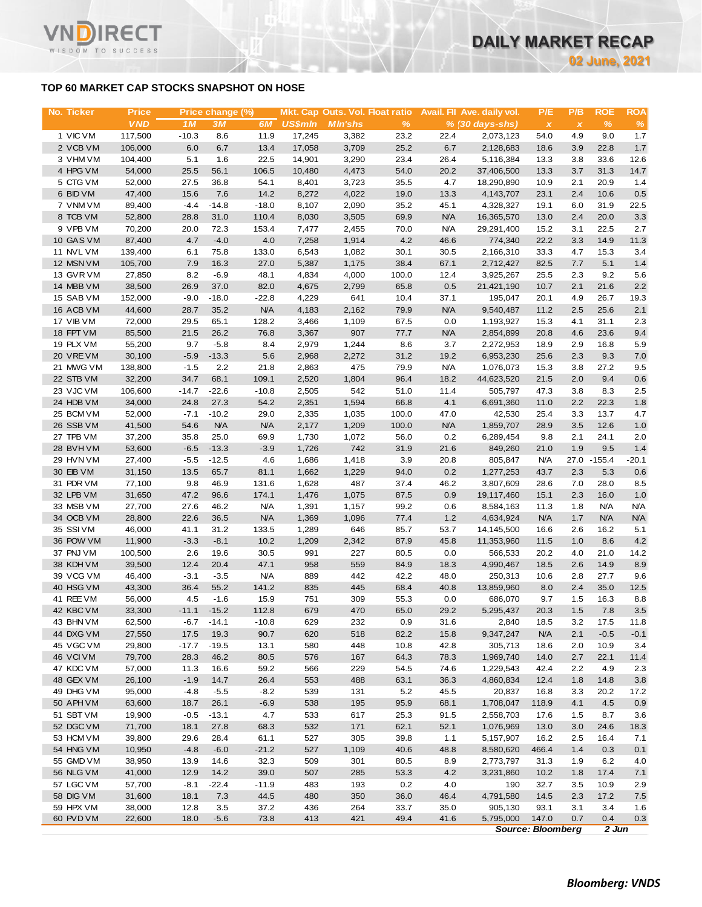**02 June, 2021**

### **TOP 60 MARKET CAP STOCKS SNAPSHOT ON HOSE**

T.

WISDOM TO SUCCESS

| No. Ticker             | <b>Price</b>      |                 | Price change (%) |                  |                | Mkt. Cap Outs. Vol. Float ratio |              |                    | Avail. Fil Ave. daily vol. | P/E                       | P/B          | <b>ROE</b>   | ROA        |
|------------------------|-------------------|-----------------|------------------|------------------|----------------|---------------------------------|--------------|--------------------|----------------------------|---------------------------|--------------|--------------|------------|
|                        | <b>VND</b>        | 1M              | 3M               | 6M               | <b>US\$mln</b> | <b>MIn'shs</b>                  | %            |                    | $% (30 days-shs)$          | $\boldsymbol{\mathsf{x}}$ | $\pmb{\chi}$ | $\%$         | $\%$       |
| 1 VIC VM               | 117,500           | $-10.3$         | 8.6              | 11.9             | 17,245         | 3,382                           | 23.2         | 22.4               | 2,073,123                  | 54.0                      | 4.9          | 9.0          | 1.7        |
| 2 VCB VM               | 106,000           | 6.0             | 6.7              | 13.4             | 17,058         | 3,709                           | 25.2         | 6.7                | 2,128,683                  | 18.6                      | 3.9          | 22.8         | 1.7        |
| 3 VHM VM               | 104,400           | 5.1             | 1.6              | 22.5             | 14,901         | 3,290                           | 23.4         | 26.4               | 5,116,384                  | 13.3                      | 3.8          | 33.6         | 12.6       |
| 4 HPG VM               | 54,000            | 25.5            | 56.1             | 106.5            | 10,480         | 4,473                           | 54.0         | 20.2               | 37,406,500                 | 13.3                      | 3.7          | 31.3         | 14.7       |
| 5 CTG VM<br>6 BID VM   | 52,000<br>47,400  | 27.5<br>15.6    | 36.8<br>7.6      | 54.1<br>14.2     | 8,401          | 3,723                           | 35.5<br>19.0 | 4.7                | 18,290,890                 | 10.9                      | 2.1<br>2.4   | 20.9<br>10.6 | 1.4<br>0.5 |
| 7 VNM VM               | 89,400            | $-4.4$          | $-14.8$          | $-18.0$          | 8,272<br>8,107 | 4,022<br>2,090                  | 35.2         | 13.3<br>45.1       | 4,143,707<br>4,328,327     | 23.1<br>19.1              | 6.0          | 31.9         | 22.5       |
| 8 TCB VM               | 52,800            | 28.8            | 31.0             | 110.4            | 8,030          | 3,505                           | 69.9         | <b>N/A</b>         | 16,365,570                 | 13.0                      | 2.4          | 20.0         | 3.3        |
| 9 VPB VM               | 70,200            | 20.0            | 72.3             | 153.4            | 7,477          | 2,455                           | 70.0         | <b>N/A</b>         | 29,291,400                 | 15.2                      | 3.1          | 22.5         | 2.7        |
| 10 GAS VM              | 87,400            | 4.7             | $-4.0$           | 4.0              | 7,258          | 1,914                           | 4.2          | 46.6               | 774,340                    | 22.2                      | 3.3          | 14.9         | 11.3       |
| 11 NVL VM              | 139,400           | 6.1             | 75.8             | 133.0            | 6,543          | 1,082                           | 30.1         | 30.5               | 2,166,310                  | 33.3                      | 4.7          | 15.3         | 3.4        |
| 12 MSN VM              | 105,700           | 7.9             | 16.3             | 27.0             | 5,387          | 1,175                           | 38.4         | 67.1               | 2,712,427                  | 82.5                      | 7.7          | 5.1          | 1.4        |
| 13 GVR VM              | 27,850            | 8.2             | $-6.9$           | 48.1             | 4,834          | 4,000                           | 100.0        | 12.4               | 3,925,267                  | 25.5                      | 2.3          | 9.2          | 5.6        |
| 14 MBB VM              | 38,500            | 26.9            | 37.0             | 82.0             | 4,675          | 2,799                           | 65.8         | 0.5                | 21,421,190                 | 10.7                      | 2.1          | 21.6         | 2.2        |
| 15 SAB VM              | 152,000           | $-9.0$          | $-18.0$          | $-22.8$          | 4,229          | 641                             | 10.4         | 37.1               | 195,047                    | 20.1                      | 4.9          | 26.7         | 19.3       |
| 16 ACB VM              | 44,600            | 28.7            | 35.2             | <b>N/A</b>       | 4,183          | 2,162                           | 79.9         | <b>N/A</b>         | 9,540,487                  | 11.2                      | 2.5          | 25.6         | 2.1        |
| 17 VIB VM              | 72,000            | 29.5            | 65.1             | 128.2            | 3,466          | 1,109                           | 67.5         | 0.0                | 1,193,927                  | 15.3                      | 4.1          | 31.1         | 2.3        |
| 18 FPT VM              | 85,500            | 21.5            | 26.2             | 76.8             | 3,367          | 907                             | 77.7         | <b>N/A</b>         | 2,854,899                  | 20.8                      | 4.6          | 23.6         | 9.4        |
| 19 PLX VM              | 55,200            | 9.7             | $-5.8$           | 8.4              | 2,979          | 1,244                           | 8.6          | 3.7                | 2,272,953                  | 18.9                      | 2.9          | 16.8         | 5.9        |
| 20 VRE VM              | 30,100            | $-5.9$          | $-13.3$          | 5.6              | 2,968          | 2,272                           | 31.2         | 19.2               | 6,953,230                  | 25.6                      | 2.3          | 9.3          | 7.0        |
| 21 MWG VM              | 138,800           | $-1.5$          | 2.2              | 21.8             | 2,863          | 475                             | 79.9         | <b>N/A</b><br>18.2 | 1,076,073<br>44,623,520    | 15.3                      | 3.8<br>2.0   | 27.2<br>9.4  | 9.5        |
| 22 STB VM<br>23 VJC VM | 32,200<br>106,600 | 34.7<br>$-14.7$ | 68.1<br>$-22.6$  | 109.1<br>$-10.8$ | 2,520<br>2,505 | 1,804<br>542                    | 96.4<br>51.0 | 11.4               | 505,797                    | 21.5<br>47.3              | 3.8          | 8.3          | 0.6<br>2.5 |
| 24 HDB VM              | 34,000            | 24.8            | 27.3             | 54.2             | 2,351          | 1,594                           | 66.8         | 4.1                | 6,691,360                  | 11.0                      | 2.2          | 22.3         | 1.8        |
| 25 BCM VM              | 52,000            | $-7.1$          | $-10.2$          | 29.0             | 2,335          | 1,035                           | 100.0        | 47.0               | 42,530                     | 25.4                      | 3.3          | 13.7         | 4.7        |
| 26 SSB VM              | 41,500            | 54.6            | <b>N/A</b>       | <b>N/A</b>       | 2,177          | 1,209                           | 100.0        | <b>N/A</b>         | 1,859,707                  | 28.9                      | 3.5          | 12.6         | 1.0        |
| 27 TPB VM              | 37,200            | 35.8            | 25.0             | 69.9             | 1,730          | 1,072                           | 56.0         | 0.2                | 6,289,454                  | 9.8                       | 2.1          | 24.1         | 2.0        |
| 28 BVHVM               | 53,600            | $-6.5$          | $-13.3$          | $-3.9$           | 1,726          | 742                             | 31.9         | 21.6               | 849,260                    | 21.0                      | 1.9          | 9.5          | 1.4        |
| 29 HVN VM              | 27,400            | $-5.5$          | $-12.5$          | 4.6              | 1,686          | 1,418                           | 3.9          | 20.8               | 805,847                    | <b>N/A</b>                |              | 27.0 - 155.4 | $-20.1$    |
| 30 EIB VM              | 31,150            | 13.5            | 65.7             | 81.1             | 1,662          | 1,229                           | 94.0         | 0.2                | 1,277,253                  | 43.7                      | 2.3          | 5.3          | 0.6        |
| 31 PDR VM              | 77,100            | 9.8             | 46.9             | 131.6            | 1,628          | 487                             | 37.4         | 46.2               | 3,807,609                  | 28.6                      | 7.0          | 28.0         | 8.5        |
| 32 LPB VM              | 31,650            | 47.2            | 96.6             | 174.1            | 1,476          | 1,075                           | 87.5         | 0.9                | 19,117,460                 | 15.1                      | 2.3          | 16.0         | 1.0        |
| 33 MSB VM              | 27,700            | 27.6            | 46.2             | <b>N/A</b>       | 1,391          | 1,157                           | 99.2         | 0.6                | 8,584,163                  | 11.3                      | 1.8          | N/A          | <b>N/A</b> |
| 34 OCB VM              | 28,800            | 22.6            | 36.5             | <b>N/A</b>       | 1,369          | 1,096                           | 77.4         | 1.2                | 4,634,924                  | <b>N/A</b>                | 1.7          | N/A          | <b>N/A</b> |
| 35 SSIVM               | 46,000            | 41.1            | 31.2             | 133.5            | 1,289          | 646                             | 85.7         | 53.7               | 14,145,500                 | 16.6                      | 2.6          | 16.2         | 5.1        |
| 36 POW VM              | 11,900            | $-3.3$          | $-8.1$           | 10.2             | 1,209          | 2,342                           | 87.9         | 45.8               | 11,353,960                 | 11.5                      | 1.0          | 8.6          | 4.2        |
| 37 PNJ VM<br>38 KDH VM | 100,500           | 2.6             | 19.6             | 30.5<br>47.1     | 991<br>958     | 227                             | 80.5         | 0.0                | 566,533<br>4,990,467       | 20.2                      | 4.0          | 21.0<br>14.9 | 14.2       |
| 39 VCG VM              | 39,500<br>46,400  | 12.4<br>$-3.1$  | 20.4<br>$-3.5$   | <b>N/A</b>       | 889            | 559<br>442                      | 84.9<br>42.2 | 18.3<br>48.0       | 250,313                    | 18.5<br>10.6              | 2.6<br>2.8   | 27.7         | 8.9<br>9.6 |
| 40 HSG VM              | 43,300            | 36.4            | 55.2             | 141.2            | 835            | 445                             | 68.4         | 40.8               | 13,859,960                 | 8.0                       | 2.4          | 35.0         | 12.5       |
| 41 REE VM              | 56,000            | 4.5             | $-1.6$           | 15.9             | 751            | 309                             | 55.3         | 0.0                | 686,070                    | 9.7                       | $1.5$        | 16.3         | 8.8        |
| 42 KBC VM              | 33,300            | $-11.1$         | $-15.2$          | 112.8            | 679            | 470                             | 65.0         | 29.2               | 5,295,437                  | 20.3                      | 1.5          | 7.8          | 3.5        |
| 43 BHN VM              | 62,500            | $-6.7$          | $-14.1$          | $-10.8$          | 629            | 232                             | 0.9          | 31.6               | 2,840                      | 18.5                      | 3.2          | 17.5         | 11.8       |
| 44 DXG VM              | 27,550            | 17.5            | 19.3             | 90.7             | 620            | 518                             | 82.2         | 15.8               | 9,347,247                  | <b>N/A</b>                | 2.1          | $-0.5$       | $-0.1$     |
| 45 VGC VM              | 29,800            | $-17.7$         | $-19.5$          | 13.1             | 580            | 448                             | 10.8         | 42.8               | 305,713                    | 18.6                      | 2.0          | 10.9         | 3.4        |
| 46 VCIVM               | 79,700            | 28.3            | 46.2             | 80.5             | 576            | 167                             | 64.3         | 78.3               | 1,969,740                  | 14.0                      | 2.7          | 22.1         | 11.4       |
| 47 KDC VM              | 57,000            | 11.3            | 16.6             | 59.2             | 566            | 229                             | 54.5         | 74.6               | 1,229,543                  | 42.4                      | 2.2          | 4.9          | 2.3        |
| 48 GEX VM              | 26,100            | $-1.9$          | 14.7             | 26.4             | 553            | 488                             | 63.1         | 36.3               | 4,860,834                  | 12.4                      | 1.8          | 14.8         | 3.8        |
| 49 DHG VM              | 95,000            | $-4.8$          | $-5.5$           | $-8.2$           | 539            | 131                             | 5.2          | 45.5               | 20,837                     | 16.8                      | 3.3          | 20.2         | 17.2       |
| 50 APH VM              | 63,600            | 18.7            | 26.1             | $-6.9$           | 538            | 195                             | 95.9         | 68.1               | 1,708,047                  | 118.9                     | 4.1          | 4.5          | 0.9        |
| 51 SBT VM              | 19,900            | $-0.5$          | $-13.1$          | 4.7              | 533            | 617                             | 25.3         | 91.5               | 2,558,703                  | 17.6                      | 1.5          | 8.7          | 3.6        |
| 52 DGC VM              | 71,700            | 18.1            | 27.8             | 68.3             | 532            | 171                             | 62.1         | 52.1               | 1,076,969                  | 13.0                      | 3.0          | 24.6         | 18.3       |
| 53 HCM VM              | 39,800            | 29.6            | 28.4             | 61.1             | 527            | 305                             | 39.8         | 1.1                | 5,157,907                  | 16.2                      | 2.5          | 16.4         | 7.1        |
| 54 HNG VM              | 10,950            | $-4.8$          | $-6.0$           | $-21.2$          | 527            | 1,109                           | 40.6         | 48.8               | 8,580,620                  | 466.4                     | 1.4          | 0.3          | 0.1        |
| 55 GMD VM<br>56 NLG VM | 38,950            | 13.9<br>12.9    | 14.6<br>14.2     | 32.3<br>39.0     | 509<br>507     | 301<br>285                      | 80.5         | 8.9                | 2,773,797                  | 31.3                      | 1.9<br>1.8   | 6.2<br>17.4  | 4.0        |
| 57 LGC VM              | 41,000<br>57,700  | $-8.1$          | $-22.4$          | $-11.9$          | 483            | 193                             | 53.3<br>0.2  | 4.2<br>4.0         | 3,231,860<br>190           | 10.2<br>32.7              | 3.5          | 10.9         | 7.1<br>2.9 |
| 58 DIG VM              | 31,600            | 18.1            | $7.3$            | 44.5             | 480            | 350                             | 36.0         | 46.4               | 4,791,580                  | 14.5                      | 2.3          | 17.2         | 7.5        |
|                        |                   |                 |                  |                  |                |                                 |              |                    |                            |                           |              |              |            |
| 59 HPX VM              | 38,000            | 12.8            | 3.5              | 37.2             | 436            | 264                             | 33.7         | 35.0               | 905,130                    | 93.1                      | 3.1          | 3.4          | 1.6        |